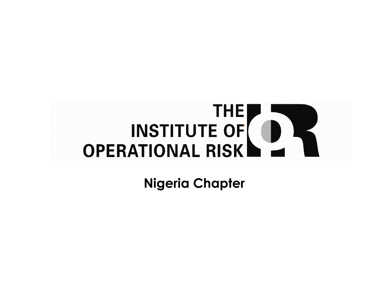# **THE INSTITUTE OF OPERATIONAL RISK**

Nigeria Chapter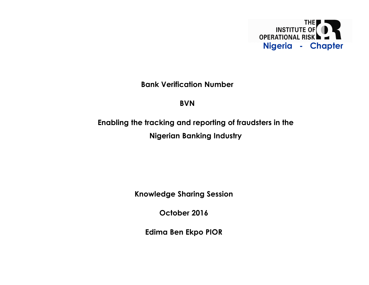

Bank Verification Number

BVN

Enabling the tracking and reporting of fraudsters in the Nigerian Banking Industry

Knowledge Sharing Session

October 2016

Edima Ben Ekpo PIOR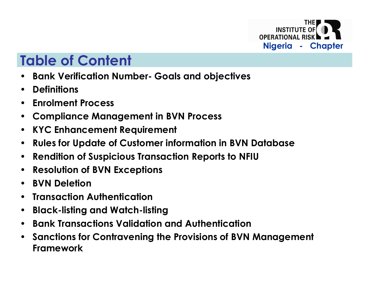

## Table of Content

- $\bullet$ Bank Verification Number- Goals and objectives
- $\bullet$ **Definitions**
- •Enrolment Process
- •Compliance Management in BVN Process
- $\bullet$ KYC Enhancement Requirement
- $\bullet$ Rules for Update of Customer information in BVN Database
- $\bullet$ Rendition of Suspicious Transaction Reports to NFIU
- $\bullet$ Resolution of BVN Exceptions
- $\bullet$ BVN Deletion
- $\bullet$ Transaction Authentication
- $\bullet$ Black-listing and Watch-listing
- $\bullet$ Bank Transactions Validation and Authentication
- $\bullet$  Sanctions for Contravening the Provisions of BVN Management Framework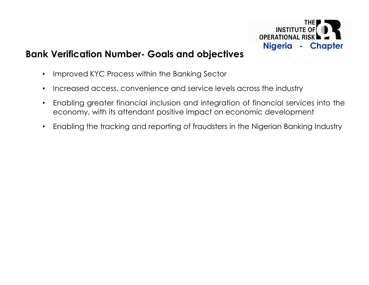

## Bank Verification Number- Goals and objectives

- •Improved KYC Process within the Banking Sector
- •Increased access, convenience and service levels across the industry
- • Enabling greater financial inclusion and integration of financial services into the economy, with its attendant positive impact on economic development
- •Enabling the tracking and reporting of fraudsters in the Nigerian Banking Industry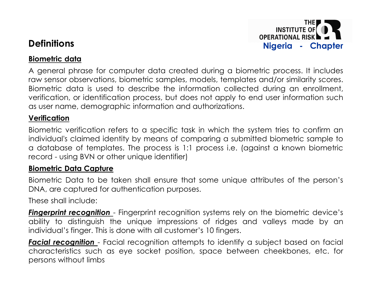

## **Definitions**

#### Biometric data

<sup>A</sup> general phrase for computer data created during <sup>a</sup> biometric process. It includes raw sensor observations, biometric samples, models, templates and/or similarity scores. Biometric data is used to describe the information collected during an enrollment, verification, or identification process, but does not apply to end user information such as user name, demographic information and authorizations.

#### **Verification**

Biometric verification refers to <sup>a</sup> specific task in which the system tries to confirm an individual's claimed identity by means of comparing <sup>a</sup> submitted biometric sample to <sup>a</sup> database of templates. The process is 1:1 process i.e. (against <sup>a</sup> known biometric record - using BVN or other unique identifier)

#### Biometric Data Capture

Biometric Data to be taken shall ensure that some unique attributes of the person's DNA, are captured for authentication purposes.

These shall include:

**Fingerprint recognition** - Fingerprint recognition systems rely on the biometric device's ability to distinguish the unique impressions of ridges and valleys made by an individual's finger. This is done with all customer's <sup>10</sup> fingers.

**Facial recognition** - Facial recognition attempts to identify a subject based on facial characteristics such as eye socket position, space between cheekbones, etc. for persons without limbs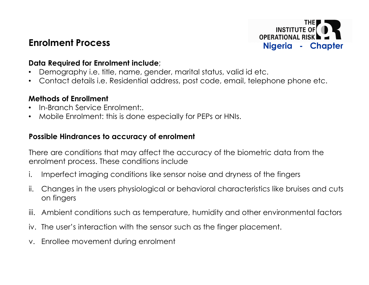

## Enrolment Process

#### Data Required for Enrolment include;

- •Demography i.e. title, name, gender, marital status, valid id etc.
- $\bullet$ Contact details i.e. Residential address, post code, email, telephone phone etc.

#### Methods of Enrollment

- •In-Branch Service Enrolment:.
- $\bullet$ Mobile Enrolment: this is done especially for PEPs or HNIs.

#### Possible Hindrances to accuracy of enrolment

There are conditions that may affect the accuracy of the biometric data from the enrolment process. These conditions include

- i. Imperfect imaging conditions like sensor noise and dryness of the fingers
- ii. Changes in the users physiological or behavioral characteristics like bruises and cuts on fingers
- iii. Ambient conditions such as temperature, humidity and other environmental factors
- iv. The user's interaction with the sensor such as the finger placement.
- v. Enrollee movement during enrolment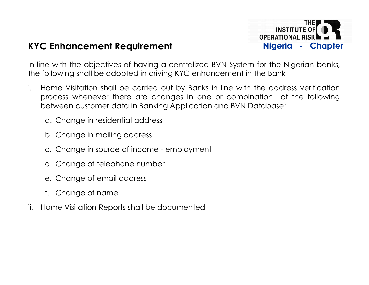

## KYC Enhancement Requirement

In line with the objectives of having a centralized BVN System for the Nigerian banks,<br>the following shall be adopted in driving KYC enhancement in the Bank the following shall be adopted in driving KYC enhancement in the Bank

- i. Home Visitation shall be carried out by Banks in line with the address verification process whenever there are changes in one or combination of the following between customer data in Banking Application and BVN Database:
	- a. Change in residential address
	- b. Change in mailing address
	- c. Change in source of income employment
	- d. Change of telephone number
	- e. Change of email address
	- f. Change of name
- ii. Home Visitation Reports shall be documented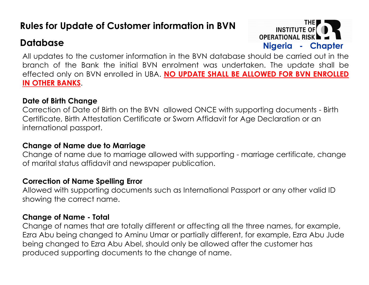## Rules for Update of Customer information in BVN

## **Database**



All updates to the customer information in the BVN database should be carried out in the branch of the Bank the initial BVN enrolment was undertaken. The update shall be effected only on BVN enrolled in UBA. NO UPDATE SHALL BE ALLOWED FOR BVN ENROLLED IN OTHER BANKS.

#### Date of Birth Change

Correction of Date of Birth on the BVN allowed ONCE with supporting documents - Birth Certificate, Birth Attestation Certificate or Sworn Affidavit for Age Declaration or an international passport.

#### Change of Name due to Marriage

Change of name due to marriage allowed with supporting - marriage certificate, change<br>of resultate table official it and now marge publication. of marital status affidavit and newspaper publication.

#### Correction of Name Spelling Error

Allowed with supporting documents such as International Passport or any other valid ID showing the correct name.

#### Change of Name - Total

Change of names that are totally different or affecting all the three names, for example, Ezra Abu being changed to Aminu Umar or partially different, for example, Ezra Abu Jude being changed to Ezra Abu Abel, should only be allowed after the customer has produced supporting documents to the change of name.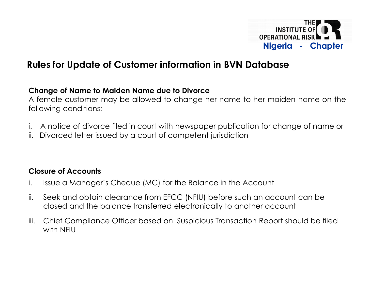

## Rules for Update of Customer information in BVN Database

#### Change of Name to Maiden Name due to Divorce

<sup>A</sup> female customer may be allowed to change her name to her maiden name on the following conditions:

- i. <sup>A</sup> notice of divorce filed in court with newspaper publication for change of name or
- Divorced letter issued by a court of competent jurisdiction

#### Closure of Accounts

- i. Issue a Manager's Cheque (MC) for the Balance in the Account
- ii. Seek and obtain clearance from EFCC (NFIU) before such an account can be closed and the balance transferred electronically to another account
- iii. Chief Compliance Officer based on Suspicious Transaction Report should be filed with NFIU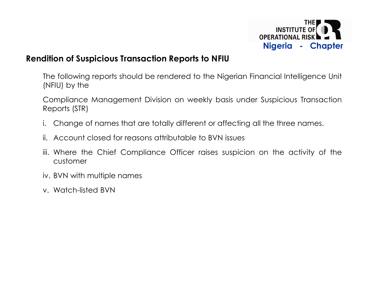

#### Rendition of Suspicious Transaction Reports to NFIU

The following reports should be rendered to the Nigerian Financial Intelligence Unit (NFIU) by the

Compliance Management Division on weekly basis under Suspicious Transaction Reports (STR)

- i. Change of names that are totally different or affecting all the three names.
- ii. Account closed for reasons attributable to BVN issues
- iii. Where the Chief Compliance Officer raises suspicion on the activity of the customer
- iv. BVN with multiple names
- v. Watch-listed BVN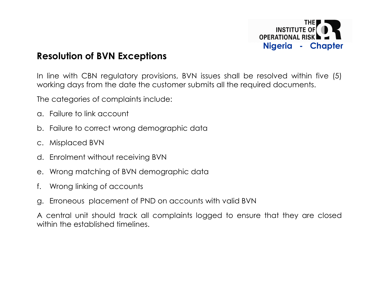

## Resolution of BVN Exceptions

In line with CBN regulatory provisions, BVN issues shall be resolved within five (5) working days from the date the customer submits all the required documents.

The categories of complaints include:

- a. Failure to link account
- b. Failure to correct wrong demographic data
- c. Misplaced BVN
- d. Enrolment without receiving BVN
- e. Wrong matching of BVN demographic data
- f. Wrong linking of accounts
- g. Erroneous placement of PND on accounts with valid BVN

<sup>A</sup> central unit should track all complaints logged to ensure that they are closed within the established timelines.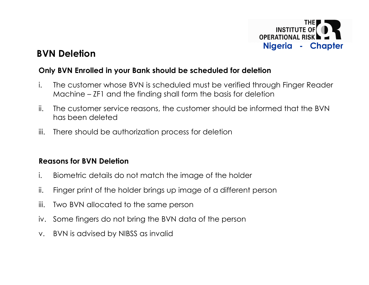

## BVN Deletion

#### Only BVN Enrolled in your Bank should be scheduled for deletion

- i. The customer whose BVN is scheduled must be verified through Finger Reader Machine – ZF1 and the finding shall form the basis for deletion
- ii. The customer service reasons, the customer should be informed that the BVN has been deleted
- iii. There should be authorization process for deletion

#### Reasons for BVN Deletion

- i. Biometric details do not match the image of the holder
- ii. Finger print of the holder brings up image of a different person
- iii. Two BVN allocated to the same person
- iv. Some fingers do not bring the BVN data of the person
- v. BVN is advised by NIBSS as invalid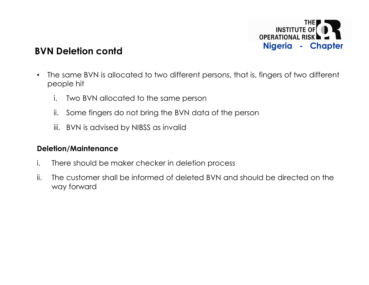

## BVN Deletion contd

- • The same BVN is allocated to two different persons, that is, fingers of two different people hit
	- i. Two BVN allocated to the same person
	- ii. Some fingers do not bring the BVN data of the person
	- iii. BVN is advised by NIBSS as invalid

#### Deletion/Maintenance

- i. There should be maker checker in deletion process
- ii. The customer shall be informed of deleted BVN and should be directed on the way forward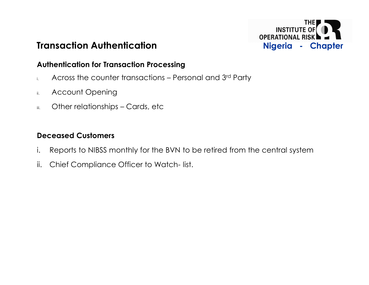

## Transaction Authentication

#### Authentication for Transaction Processing

- i.Across the counter transactions – Personal and <sup>3</sup>rd Party
- ii.Account Opening
- iii.Other relationships – Cards, etc

#### Deceased Customers

- i. Reports to NIBSS monthly for the BVN to be retired from the central system
- ii. Chief Compliance Officer to Watch- list.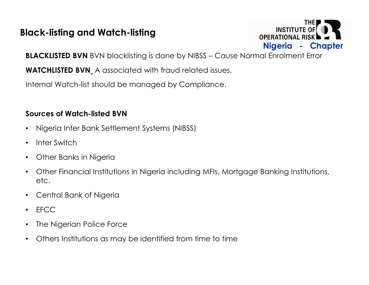## Black-listing and Watch-listing



BLACKLISTED BVN BVN blacklisting is done by NIBSS - Cause Normal Enrolment Error

**WATCHLISTED BVN\_** A associated with fraud related issues.

Internal Watch-list should be managed by Compliance.

#### Sources of Watch-listed BVN

- •Nigeria Inter Bank Settlement Systems (NIBSS)
- •Inter Switch
- •Other Banks in Nigeria
- • Other Financial Institutions in Nigeria including MFIs, Mortgage Banking Institutions, etc.
- •Central Bank of Nigeria
- $\bullet$ EFCC
- $\bullet$ The Nigerian Police Force
- $\bullet$ Others Institutions as may be identified from time to time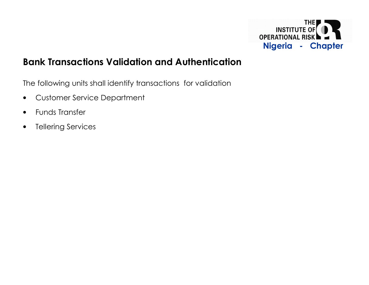

## Bank Transactions Validation and Authentication

The following units shall identify transactions for validation

- $\bullet$ Customer Service Department
- $\bullet$ Funds Transfer
- $\bullet$ Tellering Services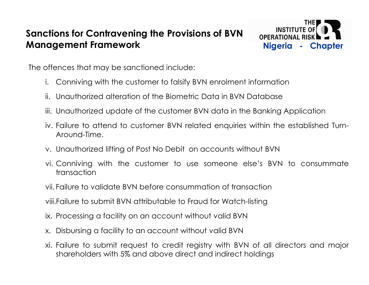## Sanctions for Contravening the Provisions of BVN Management Framework



The offences that may be sanctioned include:

- i. Conniving with the customer to falsify BVN enrolment information
- ii. Unauthorized alteration of the Biometric Data in BVN Database
- iii. Unauthorized update of the customer BVN data in the Banking Application
- iv. Failure to attend to customer BVN related enquiries within the established Turn-Around-Time.
- v. Unauthorized lifting of Post No Debit on accounts without BVN
- vi. Conniving with the customer to use someone else's BVN to consummate transaction
- vii. Failure to validate BVN before consummation of transaction

viii.Failure to submit BVN attributable to Fraud for Watch-listing

- ix. Processing <sup>a</sup> facility on an account without valid BVN
- x. Disbursing <sup>a</sup> facility to an account without valid BVN
- xi. Failure to submit request to credit registry with BVN of all directors and major shareholders with 5% and above direct and indirect holdings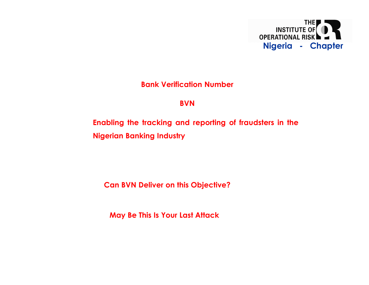

#### Bank Verification Number

#### BVN

Enabling the tracking and reporting of fraudsters in the Nigerian Banking Industry

Can BVN Deliver on this Objective?

May Be This Is Your Last Attack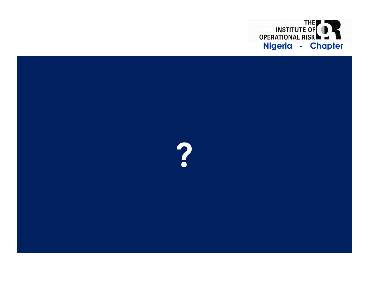